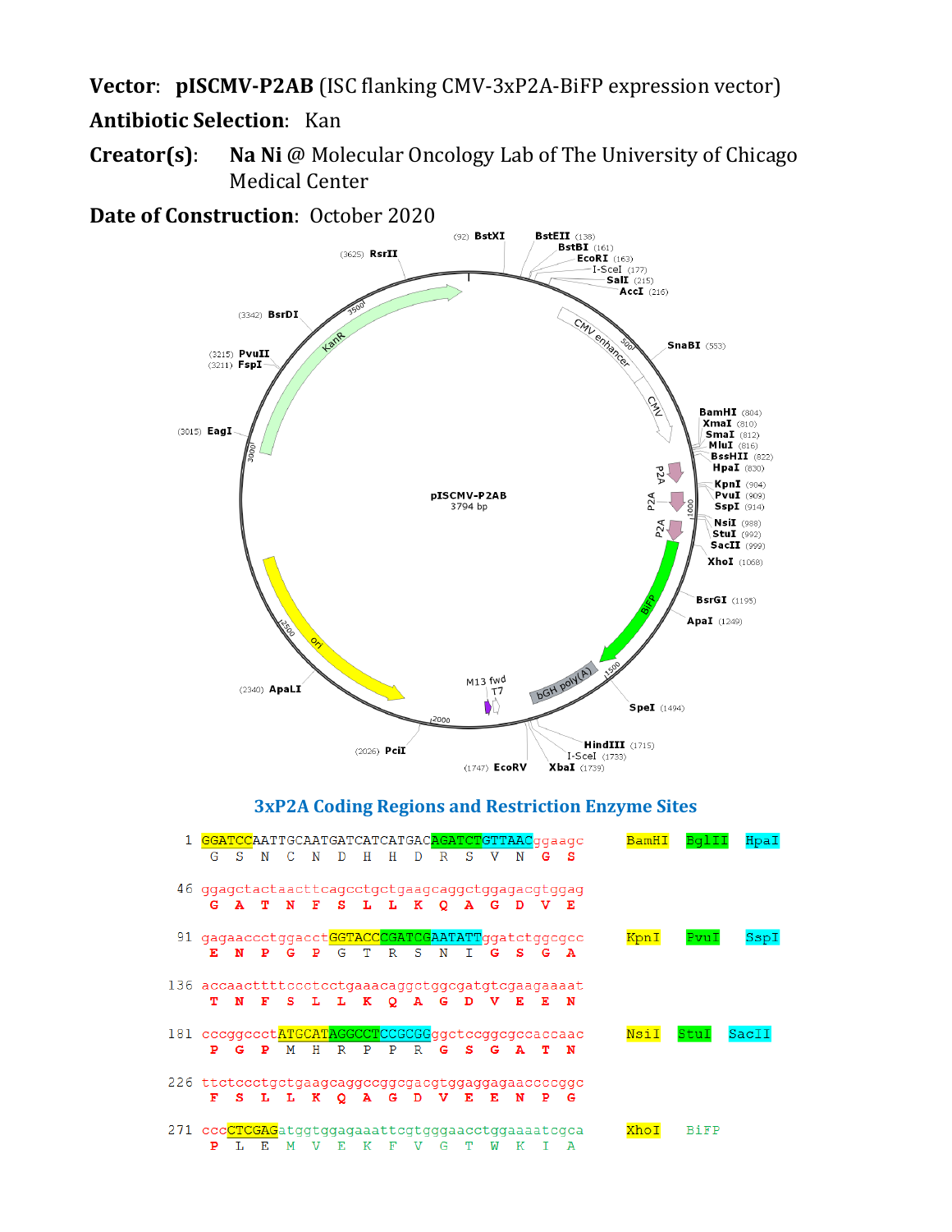**Vector**: **pISCMV-P2AB** (ISC flanking CMV-3xP2A-BiFP expression vector)

# **Antibiotic Selection**: Kan

**Creator(s)**: **Na Ni** @ Molecular Oncology Lab of The University of Chicago Medical Center

**Date of Construction**: October 2020



## **3xP2A Coding Regions and Restriction Enzyme Sites**

|                                                   | GGATCCAATTGCAATGATCATCATGACAGATCTGTTAACqqaaqc    |     |    |   |     |       |      |         |             |   |   |   |   |   |      |             | Hpal |
|---------------------------------------------------|--------------------------------------------------|-----|----|---|-----|-------|------|---------|-------------|---|---|---|---|---|------|-------------|------|
|                                                   | G                                                | S.  | N  |   |     |       | н    | н       | D           | R | s |   | N | s |      |             |      |
|                                                   |                                                  |     |    |   |     |       |      |         |             |   |   |   |   |   |      |             |      |
|                                                   | 46 ggagctactaacttcagcctgctgaagcaggctggagacgtggag |     |    |   |     |       |      |         |             |   |   |   |   |   |      |             |      |
|                                                   |                                                  | G A | т  | N | - F | s.    | т. – | т.      | к           | O | A | G |   | Е |      |             |      |
|                                                   |                                                  |     |    |   |     |       |      |         |             |   |   |   |   |   |      |             |      |
|                                                   | 91 gagaaccctggacctGGTACCCGATCGAATATTggatctggcgcc |     |    |   |     |       |      |         |             |   |   |   |   |   | KpnI | PvuT        | SspI |
|                                                   |                                                  |     | ъ  |   |     | G     | Τ    | R       | S           | N |   |   |   | А |      |             |      |
|                                                   |                                                  |     |    |   |     |       |      |         |             |   |   |   |   |   |      |             |      |
| 136 accaacttttccctcctgaaacaggctggcgatgtcgaagaaaat |                                                  |     |    |   |     |       |      |         |             |   |   |   |   |   |      |             |      |
|                                                   |                                                  |     | F  | s |     | L L K |      | $\circ$ | A           | G | D | v | Е | N |      |             |      |
|                                                   |                                                  |     |    |   |     |       |      |         |             |   |   |   |   |   |      |             |      |
| 181 cccggccctATGCATAGGCCTCCGCGGggctccggcgccaccaac |                                                  |     |    |   |     |       |      |         |             |   |   |   |   |   | NsiI |             | Saci |
|                                                   | P                                                | G   | P  | м | н   | R     | P.   | P       | $\mathbf R$ | G | s | G |   | N |      |             |      |
|                                                   |                                                  |     |    |   |     |       |      |         |             |   |   |   |   |   |      |             |      |
| 226 ttctccctgctgaagcaggccggcgacgtggaggagaaccccggc |                                                  |     |    |   |     |       |      |         |             |   |   |   |   |   |      |             |      |
|                                                   | F                                                | s   |    |   | к   |       |      | G       | D           |   |   |   |   | G |      |             |      |
|                                                   |                                                  |     |    |   |     |       |      |         |             |   |   |   |   |   |      |             |      |
| 271 cccCTCGAGatggtggagaaattcgtgggaacctggaaaatcgca |                                                  |     |    |   |     |       |      |         |             |   |   |   |   |   | Kh∩i | <b>BiFP</b> |      |
|                                                   | ₽                                                | -17 | E. | M |     | 工匠    | К    | F       | v           | G |   | W | к |   |      |             |      |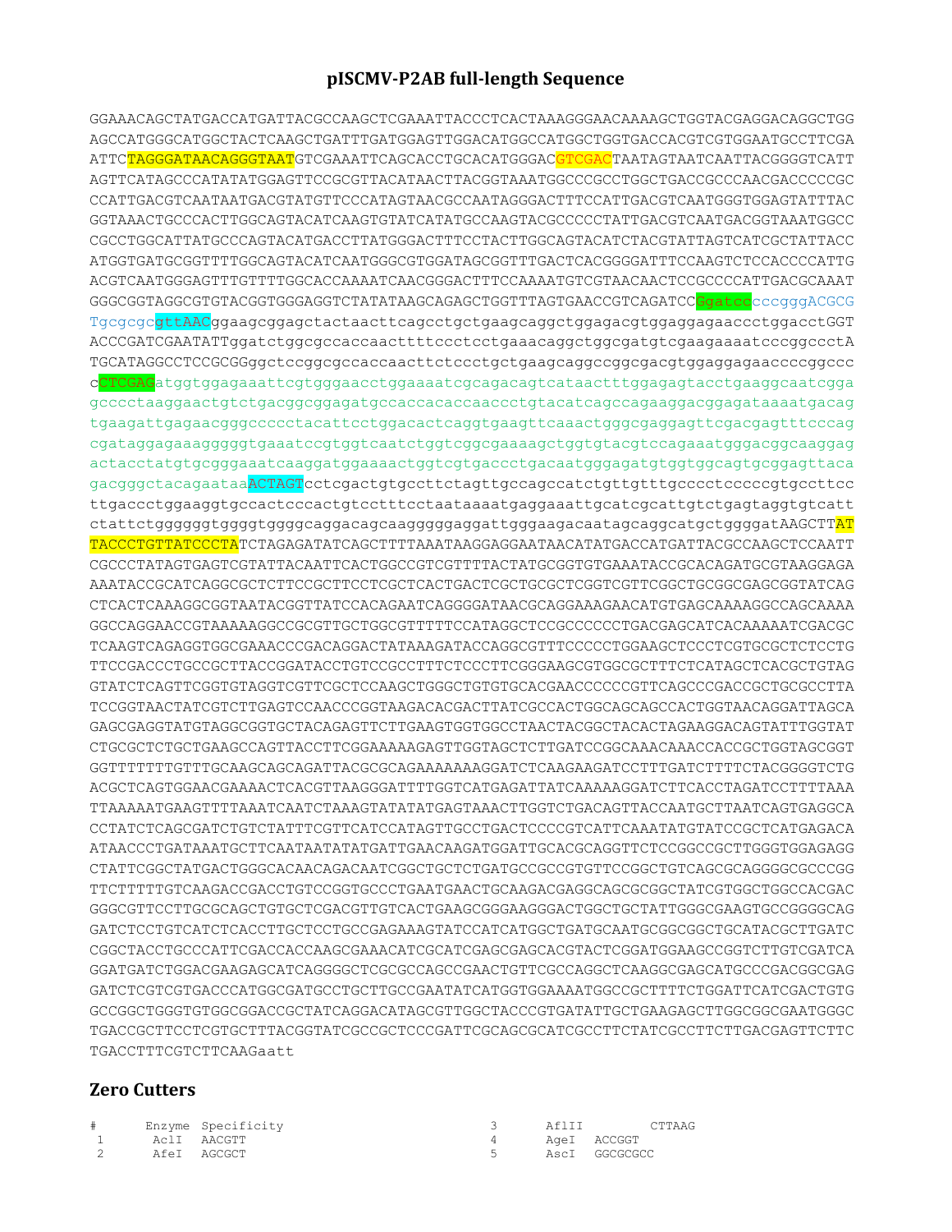#### **pISCMV-P2AB full-length Sequence**

GGAAACAGCTATGACCATGATTACGCCAAGCTCGAAATTACCCTCACTAAAGGGAACAAAAGCTGGTACGAGGACAGGCTGG AGCCATGGGCATGGCTACTCAAGCTGATTTGATGGAGTTGGACATGGCCATGGCTGGTGACCACGTCGTGGAATGCCTTCGA ATTC<mark>TAGGGATAACAGGGTAAT</mark>GTCGAAATTCAGCACCTGCACATGGGAC<mark>GTCGAC</mark>TAATAGTAATCAATTACGGGGTCATT AGTTCATAGCCCATATATGGAGTTCCGCGTTACATAACTTACGGTAAATGGCCCGCCTGGCTGACCGCCCAACGACCCCCGC CCATTGACGTCAATAATGACGTATGTTCCCATAGTAACGCCAATAGGGACTTTCCATTGACGTCAATGGGTGGAGTATTTAC GGTAAACTGCCCACTTGGCAGTACATCAAGTGTATCATATGCCAAGTACGCCCCCTATTGACGTCAATGACGGTAAATGGCC CGCCTGGCATTATGCCCAGTACATGACCTTATGGGACTTTCCTACTTGGCAGTACATCTACGTATTAGTCATCGCTATTACC ATGGTGATGCGGTTTTGGCAGTACATCAATGGGCGTGGATAGCGGTTTGACTCACGGGGATTTCCAAGTCTCCACCCCATTG ACGTCAATGGGAGTTTGTTTTGGCACCAAAATCAACGGGACTTTCCAAAATGTCGTAACAACTCCGCCCCATTGACGCAAAT GGGCGGTAGGCGTGTACGGTGGGAGGTCTATATAAGCAGAGCTGGTTTAGTGAACCGTCAGATCCGqatccccqqqaACGCG TgcgcgcgttAACggaagcggagctactaacttcagcctgctgaagcaggctggagacgtggaggagaaccctggacctGGT ACCCGATCGAATATTggatctggcgccaccaacttttccctcctgaaacaggctggcgatgtcgaagaaaatcccggccctA TGCATAGGCCTCCGCGGggctccggcgccaccaacttctccctgctgaagcaggccggcgacgtggaggagaaccccggccc cCTCGAGatggtggagaaattcgtgggaacctggaaaatcgcagacagtcataactttggagagtacctgaaggcaatcgga gcccctaaggaactgtctgacggcggagatgccaccacaccaaccctgtacatcagccagaaggacggagataaaatgacag tgaagattgagaacgggccccctacattcctggacactcaggtgaagttcaaactgggcgaggagttcgacgagtttcccag cgataggagaaagggggtgaaatccgtggtcaatctggtcggcgaaaagctggtgtacgtccagaaatgggacggcaaggag actacctatgtgcgggaaatcaaggatggaaaactggtcgtgaccctgacaatgggagatgtggtggcagtgcggagttaca gacgggctacagaataaACTAGTcctcgactgtgccttctagttgccagccatctgtttgcccctcccccgtgccttcc ttgaccctggaaggtgccactcccactgtcctttcctaataaaatgaggaaattgcatcgcattgtctgagtaggtgtcatt ctattctggggggtggggtggggcaggacagcaaggggggaggattgggaagacaatagcaggcatgctggggatAAGCTTAT TACCCTGTTATCCCTATCTAGAGATATCAGCTTTTAAATAAGGAGGAATAACATATGACCATGATTACGCCAAGCTCCAATT CGCCCTATAGTGAGTCGTATTACAATTCACTGGCCGTCGTTTTACTATGCGGTGTGAAATACCGCACAGATGCGTAAGGAGA AAATACCGCATCAGGCGCTCTTCCGCTTCCTCGCTCACTGACTCGCTGCGCTCGGTCGTTCGGCTGCGGCGAGCGGTATCAG CTCACTCAAAGGCGGTAATACGGTTATCCACAGAATCAGGGGATAACGCAGGAAAGAACATGTGAGCAAAAGGCCAGCAAAA GGCCAGGAACCGTAAAAAGGCCGCGTTGCTGGCGTTTTTCCATAGGCTCCGCCCCCCTGACGAGCATCACAAAAATCGACGC TCAAGTCAGAGGTGGCGAAACCCGACAGGACTATAAAGATACCAGGCGTTTCCCCCTGGAAGCTCCCTCGTGCGCTCTCCTG TTCCGACCCTGCCGCTTACCGGATACCTGTCCGCCTTTCTCCCTTCGGGAAGCGTGGCGCTTTCTCATAGCTCACGCTGTAG GTATCTCAGTTCGGTGTAGGTCGTTCGCTCCAAGCTGGGCTGTGTGCACGAACCCCCCGTTCAGCCCGACCGCTGCGCCTTA TCCGGTAACTATCGTCTTGAGTCCAACCCGGTAAGACACGACTTATCGCCACTGGCAGCAGCCACTGGTAACAGGATTAGCA GAGCGAGGTATGTAGGCGGTGCTACAGAGTTCTTGAAGTGGTGGCCTAACTACGGCTACACTAGAAGGACAGTATTTGGTAT CTGCGCTCTGCTGAAGCCAGTTACCTTCGGAAAAAGAGTTGGTAGCTCTTGATCCGGCAAACAAACCACCGCTGGTAGCGGT GGTTTTTTTGTTTGCAAGCAGCAGATTACGCGCAGAAAAAAAGGATCTCAAGAAGATCCTTTGATCTTTTCTACGGGGTCTG ACGCTCAGTGGAACGAAAACTCACGTTAAGGGATTTTGGTCATGAGATTATCAAAAAGGATCTTCACCTAGATCCTTTTAAA TTAAAAATGAAGTTTTAAATCAATCTAAAGTATATATGAGTAAACTTGGTCTGACAGTTACCAATGCTTAATCAGTGAGGCA CCTATCTCAGCGATCTGTCTATTTCGTTCATCCATAGTTGCCTGACTCCCCGTCATTCAAATATGTATCCGCTCATGAGACA ATAACCCTGATAAATGCTTCAATAATATATGATTGAACAAGATGGATTGCACGCAGGTTCTCCGGCCGCTTGGGTGGAGAGG CTATTCGGCTATGACTGGGCACAACAGACAATCGGCTGCTCTGATGCCGCCGTGTTCCGGCTGTCAGCGCAGGGGCGCCCGG TTCTTTTTGTCAAGACCGACCTGTCCGGTGCCCTGAATGAACTGCAAGACGAGGCAGCGCGGCTATCGTGGCTGGCCACGAC GGGCGTTCCTTGCGCAGCTGTGCTCGACGTTGTCACTGAAGCGGGAAGGGACTGGCTGCTATTGGGCGAAGTGCCGGGGCAG GATCTCCTGTCATCTCACCTTGCTCCTGCCGAGAAAGTATCCATCATGGCTGATGCAATGCGGCGGCTGCATACGCTTGATC CGGCTACCTGCCCATTCGACCACCAAGCGAAACATCGCATCGAGCGAGCACGTACTCGGATGGAAGCCGGTCTTGTCGATCA GGATGATCTGGACGAAGAGCATCAGGGGCTCGCGCCAGCCGAACTGTTCGCCAGGCTCAAGGCGAGCATGCCCGACGGCGAG GATCTCGTCGTGACCCATGGCGATGCCTGCTTGCCGAATATCATGGTGGAAAATGGCCGCTTTTCTGGATTCATCGACTGTG GCCGGCTGGGTGTGGCGGACCGCTATCAGGACATAGCGTTGGCTACCCGTGATATTGCTGAAGAGCTTGGCGGCGAATGGGC TGACCGCTTCCTCGTGCTTTACGGTATCGCCGCTCCCGATTCGCAGCGCATCGCCTTCTATCGCCTTCTTGACGAGTTCTTC TGACCTTTCGTCTTCAAGaatt

#### **Zero Cutters**

| # | Enzyme Specificity | Afltt | CTTAAG        |
|---|--------------------|-------|---------------|
|   | AclI AACGTT        |       | AgeI ACCGGT   |
|   | AfeI AGCGCT        |       | AscI GGCGCGCC |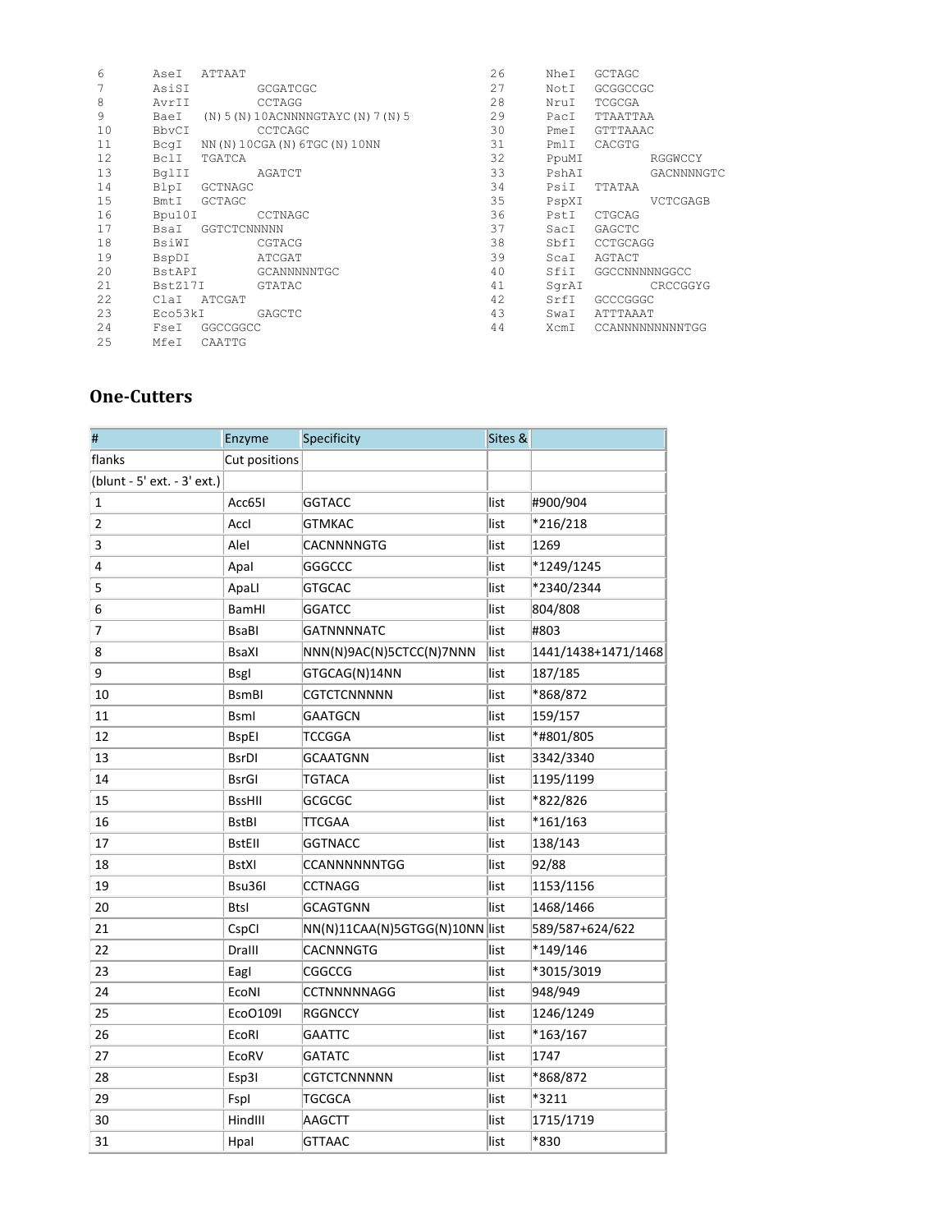| 6  | AseI    | ATTAAT        |                                     | 26 | NheI  | <b>GCTAGC</b> |                 |
|----|---------|---------------|-------------------------------------|----|-------|---------------|-----------------|
| 7  | AsiSI   |               | <b>GCGATCGC</b>                     | 27 | NotI  | GCGGCCGC      |                 |
| 8  | AvrII   |               | CCTAGG                              | 28 | NruI  | TCGCGA        |                 |
| 9  | BaeI    |               | (N) 5 (N) 10ACNNNNGTAYC (N) 7 (N) 5 | 29 | PacI  | TTAATTAA      |                 |
| 10 | BbvCI   |               | CCTCAGC                             | 30 | PmeI  | GTTTAAAC      |                 |
| 11 | BcqI    |               | NN(N)10CGA(N)6TGC(N)10NN            | 31 | PmlI  | CACGTG        |                 |
| 12 | BclI    | TGATCA        |                                     | 32 | PpuMI |               | RGGWCCY         |
| 13 | BqlII   |               | AGATCT                              | 33 | PshAI |               | GACNNNNGTC      |
| 14 | BlpI    | GCTNAGC       |                                     | 34 | PsiI  | TTATAA        |                 |
| 15 | BmtI    | <b>GCTAGC</b> |                                     | 35 | PspXI |               | VCTCGAGB        |
| 16 | Bpu10I  |               | CCTNAGC                             | 36 | PstI  | CTGCAG        |                 |
| 17 | BsaI    | GGTCTCNNNNN   |                                     | 37 | SacI  | <b>GAGCTC</b> |                 |
| 18 | BsiWI   |               | CGTACG                              | 38 | SbfI  | CCTGCAGG      |                 |
| 19 | BspDI   |               | ATCGAT                              | 39 | ScaI  | AGTACT        |                 |
| 20 | BstAPI  |               | GCANNNNNTGC                         | 40 | SfiI  | GGCCNNNNNGGCC |                 |
| 21 | BstZ17I |               | GTATAC                              | 41 | SqrAI |               | CRCCGGYG        |
| 22 | ClaI    | ATCGAT        |                                     | 42 | SrfI  | GCCCGGGC      |                 |
| 23 | Eco53kI |               | GAGCTC                              | 43 | SwaI  | ATTTAAAT      |                 |
| 24 | Fsel    | GGCCGGCC      |                                     | 44 | XcmI  |               | CCANNNNNNNNNTGG |
| 25 | MfeI    | CAATTG        |                                     |    |       |               |                 |

### **One-Cutters**

| #                           | Enzyme                    | Specificity                    | Sites & |                     |
|-----------------------------|---------------------------|--------------------------------|---------|---------------------|
| flanks                      | Cut positions             |                                |         |                     |
| (blunt - 5' ext. - 3' ext.) |                           |                                |         |                     |
| $\mathbf{1}$                | Acc65I                    | <b>GGTACC</b>                  | list    | #900/904            |
| 2                           | Accl                      | <b>GTMKAC</b>                  | list    | *216/218            |
| 3                           | Alel                      | CACNNNNGTG                     | list    | 1269                |
| 4                           | Apal                      | GGGCCC                         | list    | *1249/1245          |
| 5                           | ApaLl                     | <b>GTGCAC</b>                  | list    | *2340/2344          |
| 6                           | BamHI                     | <b>GGATCC</b>                  | list    | 804/808             |
| 7                           | <b>BsaBI</b>              | <b>GATNNNNATC</b>              | list    | #803                |
| 8                           | <b>BsaXI</b>              | NNN(N)9AC(N)5CTCC(N)7NNN       | list    | 1441/1438+1471/1468 |
| 9                           | Bsgl                      | GTGCAG(N)14NN                  | list    | 187/185             |
| 10                          | <b>B</b> sm <sub>BI</sub> | <b>CGTCTCNNNNN</b>             | list    | *868/872            |
| 11                          | <b>Bsml</b>               | <b>GAATGCN</b>                 | list    | 159/157             |
| 12                          | <b>BspEl</b>              | TCCGGA                         | list    | *#801/805           |
| 13                          | <b>BsrDI</b>              | GCAATGNN                       | list    | 3342/3340           |
| 14                          | <b>BsrGI</b>              | TGTACA                         | list    | 1195/1199           |
| 15                          | <b>BssHII</b>             | GCGCGC                         | list    | *822/826            |
| 16                          | <b>BstBI</b>              | TTCGAA                         | list    | $*161/163$          |
| 17                          | <b>BstEll</b>             | <b>GGTNACC</b>                 | list    | 138/143             |
| 18                          | <b>BstXI</b>              | CCANNNNNNTGG                   | list    | 92/88               |
| 19                          | Bsu36I                    | <b>CCTNAGG</b>                 | list    | 1153/1156           |
| 20                          | <b>Btsl</b>               | <b>GCAGTGNN</b>                | list    | 1468/1466           |
| 21                          | CspCI                     | NN(N)11CAA(N)5GTGG(N)10NN list |         | 589/587+624/622     |
| 22                          | Dralll                    | CACNNNGTG                      | list    | *149/146            |
| 23                          | Eagl                      | CGGCCG                         | list    | *3015/3019          |
| 24                          | EcoNI                     | <b>CCTNNNNNAGG</b>             | list    | 948/949             |
| 25                          | EcoO109I                  | <b>RGGNCCY</b>                 | list    | 1246/1249           |
| 26                          | EcoRI                     | <b>GAATTC</b>                  | list    | *163/167            |
| 27                          | EcoRV                     | <b>GATATC</b>                  | list    | 1747                |
| 28                          | Esp3I                     | CGTCTCNNNNN                    | list    | *868/872            |
| 29                          | Fspl                      | TGCGCA                         | list    | *3211               |
| 30                          | HindIII                   | <b>AAGCTT</b>                  | list    | 1715/1719           |
| 31                          | Hpal                      | <b>GTTAAC</b>                  | list    | *830                |